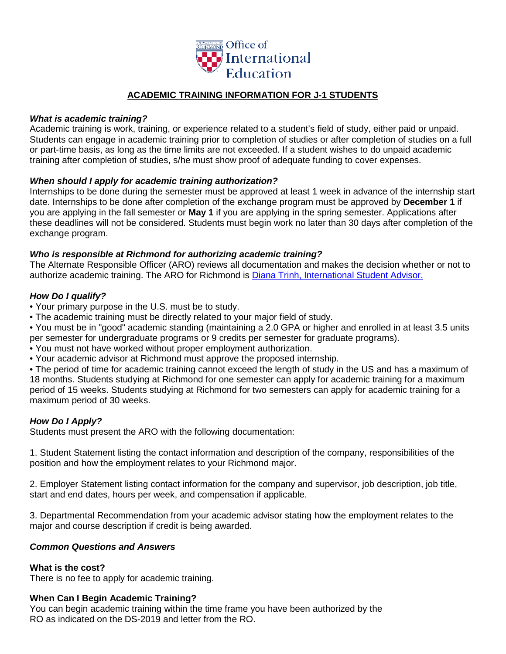

# **ACADEMIC TRAINING INFORMATION FOR J-1 STUDENTS**

### *What is academic training?*

Academic training is work, training, or experience related to a student's field of study, either paid or unpaid. Students can engage in academic training prior to completion of studies or after completion of studies on a full or part-time basis, as long as the time limits are not exceeded. If a student wishes to do unpaid academic training after completion of studies, s/he must show proof of adequate funding to cover expenses.

## *When should I apply for academic training authorization?*

Internships to be done during the semester must be approved at least 1 week in advance of the internship start date. Internships to be done after completion of the exchange program must be approved by **December 1** if you are applying in the fall semester or **May 1** if you are applying in the spring semester. Applications after these deadlines will not be considered. Students must begin work no later than 30 days after completion of the exchange program.

## *Who is responsible at Richmond for authorizing academic training?*

The Alternate Responsible Officer (ARO) reviews all documentation and makes the decision whether or not to authorize academic training. The ARO for Richmond is [Diana Trinh, International Student Advisor.](mailto:dtrinh@richmond.edu?subject=re:%20Academic%20Training)

# *How Do I qualify?*

- Your primary purpose in the U.S. must be to study.
- The academic training must be directly related to your major field of study.

• You must be in "good" academic standing (maintaining a 2.0 GPA or higher and enrolled in at least 3.5 units per semester for undergraduate programs or 9 credits per semester for graduate programs).

- You must not have worked without proper employment authorization.
- Your academic advisor at Richmond must approve the proposed internship.

• The period of time for academic training cannot exceed the length of study in the US and has a maximum of 18 months. Students studying at Richmond for one semester can apply for academic training for a maximum period of 15 weeks. Students studying at Richmond for two semesters can apply for academic training for a maximum period of 30 weeks.

# *How Do I Apply?*

Students must present the ARO with the following documentation:

1. Student Statement listing the contact information and description of the company, responsibilities of the position and how the employment relates to your Richmond major.

2. Employer Statement listing contact information for the company and supervisor, job description, job title, start and end dates, hours per week, and compensation if applicable.

3. Departmental Recommendation from your academic advisor stating how the employment relates to the major and course description if credit is being awarded.

#### *Common Questions and Answers*

#### **What is the cost?**

There is no fee to apply for academic training.

#### **When Can I Begin Academic Training?**

You can begin academic training within the time frame you have been authorized by the RO as indicated on the DS-2019 and letter from the RO.